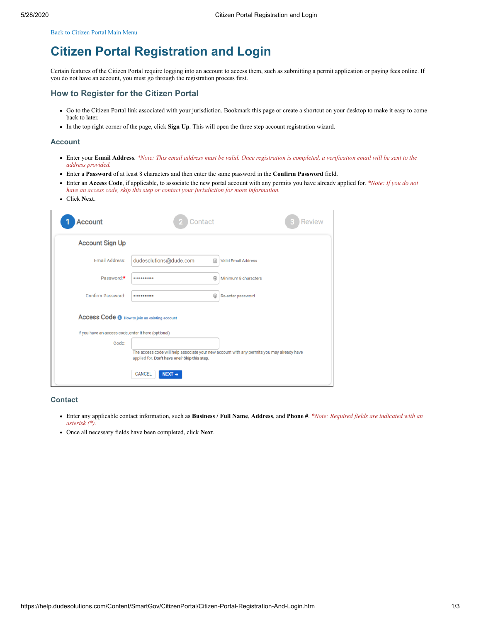<span id="page-0-0"></span>[Back to Citizen Portal Main Menu](https://help.dudesolutions.com/Content/SmartGov/CitizenPortal/Citizen-Portal.htm)

# **Citizen Portal Registration and Login**

Certain features of the Citizen Portal require logging into an account to access them, such as submitting a permit application or paying fees online. If you do not have an account, you must go through the registration process first.

# **How to Register for the Citizen Portal**

- Go to the Citizen Portal link associated with your jurisdiction. Bookmark this page or create a shortcut on your desktop to make it easy to come back to later.
- In the top right corner of the page, click **Sign Up**. This will open the three step account registration wizard.

#### **Account**

- Enter your **Email Address**. *\*Note: This email address must be valid. Once registration is completed, a verification email will be sent to the address provided.*
- Enter a **Password** of at least 8 characters and then enter the same password in the **Confirm Password** field.
- Enter an **Access Code**, if applicable, to associate the new portal account with any permits you have already applied for. *\*Note: If you do not have an access code, skip this step or contact your jurisdiction for more information.*
- Click **Next**.

| <b>Account</b>                                       | Contact                                      |   | <b>Review</b>                                                                              |
|------------------------------------------------------|----------------------------------------------|---|--------------------------------------------------------------------------------------------|
| <b>Account Sign Up</b>                               |                                              |   |                                                                                            |
| <b>Fmail Address:</b>                                | dudesolutions@dude.com                       | 画 | <b>Valid Email Address</b>                                                                 |
| Password:*                                           |                                              | ⊕ | Minimum 8 characters                                                                       |
| Confirm Password:                                    |                                              | ⊕ | Re-enter password                                                                          |
| Access Code @ How to join an existing account        |                                              |   |                                                                                            |
| If you have an access code, enter it here (optional) |                                              |   |                                                                                            |
| Code:                                                |                                              |   |                                                                                            |
|                                                      | applied for. Don't have one? Skip this step. |   | The access code will help associate your new account with any permits you may already have |
|                                                      | CANCEL<br>$NEXT \rightarrow$                 |   |                                                                                            |

### **Contact**

- Enter any applicable contact information, such as **Business / Full Name**, **Address**, and **Phone #**. *\*Note: Required fields are indicated with an asterisk (\*).*
- Once all necessary fields have been completed, click **Next**.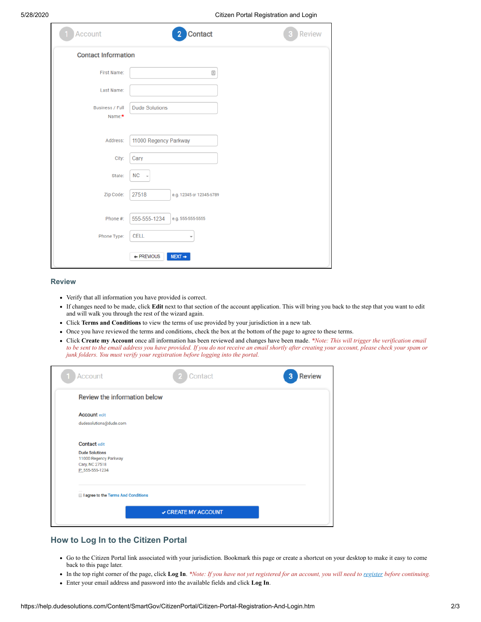5/28/2020 Citizen Portal Registration and Login

| Account                          | <b>Contact</b><br>2 <sup>7</sup>  | Review |
|----------------------------------|-----------------------------------|--------|
| <b>Contact Information</b>       |                                   |        |
| First Name:                      |                                   |        |
| Last Name:                       |                                   |        |
| <b>Business / Full</b><br>Name:* | <b>Dude Solutions</b>             |        |
| Address:                         | 11000 Regency Parkway             |        |
| City:                            | Cary                              |        |
| State:                           | $NC$ $\rightarrow$                |        |
| Zip Code:                        | 27518<br>e.g. 12345 or 12345-6789 |        |
| Phone #:                         | 555-555-1234<br>e.g. 555-555-5555 |        |
| Phone Type:                      | <b>CELL</b><br>÷                  |        |
|                                  | + PREVIOUS<br>$NEXT \rightarrow$  |        |

#### **Review**

- Verify that all information you have provided is correct.
- If changes need to be made, click **Edit** next to that section of the account application. This will bring you back to the step that you want to edit and will walk you through the rest of the wizard again.
- Click **Terms and Conditions** to view the terms of use provided by your jurisdiction in a new tab.
- Once you have reviewed the terms and conditions, check the box at the bottom of the page to agree to these terms.
- Click **Create my Account** once all information has been reviewed and changes have been made. *\*Note: This will trigger the verification email to be sent to the email address you have provided. If you do not receive an email shortly after creating your account, please check your spam or junk folders. You must verify your registration before logging into the portal.*

| Account                                        | Contact           | <b>Review</b><br>3 |
|------------------------------------------------|-------------------|--------------------|
| <b>Review the information below</b>            |                   |                    |
| <b>Account edit</b>                            |                   |                    |
| dudesolutions@dude.com                         |                   |                    |
| <b>Contact edit</b>                            |                   |                    |
| <b>Dude Solutions</b><br>11000 Regency Parkway |                   |                    |
| Cary, NC 27518<br>P: 555-555-1234              |                   |                    |
| I agree to the Terms And Conditions            |                   |                    |
|                                                |                   |                    |
|                                                | CREATE MY ACCOUNT |                    |
|                                                |                   |                    |

# **How to Log In to the Citizen Portal**

- Go to the Citizen Portal link associated with your jurisdiction. Bookmark this page or create a shortcut on your desktop to make it easy to come back to this page later.
- In the top right corner of the page, click **Log In**. *\*Note: If you have not yet registered for an account, you will need to register before continuing.*
- Enter your email address and password into the available fields and click **Log In**.